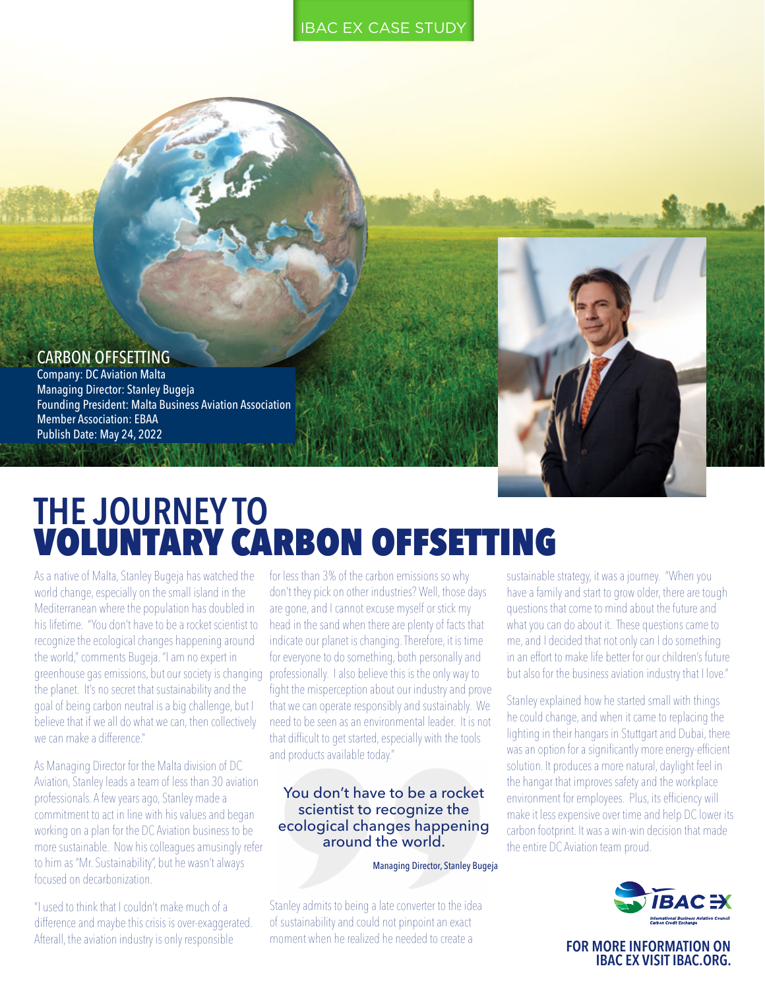#### IBAC EX CASE STUDY



## CARBON OFFSETTING

Company: DC Aviation Malta Managing Director: Stanley Bugeja Founding President: Malta Business Aviation Association Member Association: EBAA Publish Date: May 24, 2022

# **THE JOURNEY TO**  VOLUNTARY CARBON OFFSETTING

As a native of Malta, Stanley Bugeja has watched the world change, especially on the small island in the Mediterranean where the population has doubled in his lifetime. "You don't have to be a rocket scientist to recognize the ecological changes happening around the world," comments Bugeja. "I am no expert in greenhouse gas emissions, but our society is changing the planet. It's no secret that sustainability and the goal of being carbon neutral is a big challenge, but I believe that if we all do what we can, then collectively we can make a difference"

As Managing Director for the Malta division of DC Aviation, Stanley leads a team of less than 30 aviation professionals. A few years ago, Stanley made a commitment to act in line with his values and began working on a plan for the DC Aviation business to be more sustainable. Now his colleagues amusingly refer to him as "Mr. Sustainability", but he wasn't always focused on decarbonization.

"I used to think that I couldn't make much of a difference and maybe this crisis is over-exaggerated. Afterall, the aviation industry is only responsible

for less than 3% of the carbon emissions so why don't they pick on other industries? Well, those days are gone, and I cannot excuse myself or stick my head in the sand when there are plenty of facts that indicate our planet is changing. Therefore, it is time for everyone to do something, both personally and professionally. I also believe this is the only way to fight the misperception about our industry and prove that we can operate responsibly and sustainably. We need to be seen as an environmental leader. It is not that difficult to get started, especially with the tools and products available today."

## You don't have to be a rocket scientist to recognize the ecological changes happening around the world.

Managing Director, Stanley Bugeja

Stanley admits to being a late converter to the idea of sustainability and could not pinpoint an exact moment when he realized he needed to create a

sustainable strategy, it was a journey. "When you have a family and start to grow older, there are tough questions that come to mind about the future and what you can do about it. These questions came to me, and I decided that not only can I do something in an effort to make life better for our children's future but also for the business aviation industry that I love."

Stanley explained how he started small with things he could change, and when it came to replacing the lighting in their hangars in Stuttgart and Dubai, there was an option for a significantly more energy-efficient solution. It produces a more natural, daylight feel in the hangar that improves safety and the workplace environment for employees. Plus, its efficiency will make it less expensive over time and help DC lower its carbon footprint. It was a win-win decision that made the entire DC Aviation team proud.



**FOR MORE INFORMATION ON IBAC EX VISIT [IBAC.ORG.](mailto:www.IBAC.org?subject=)**